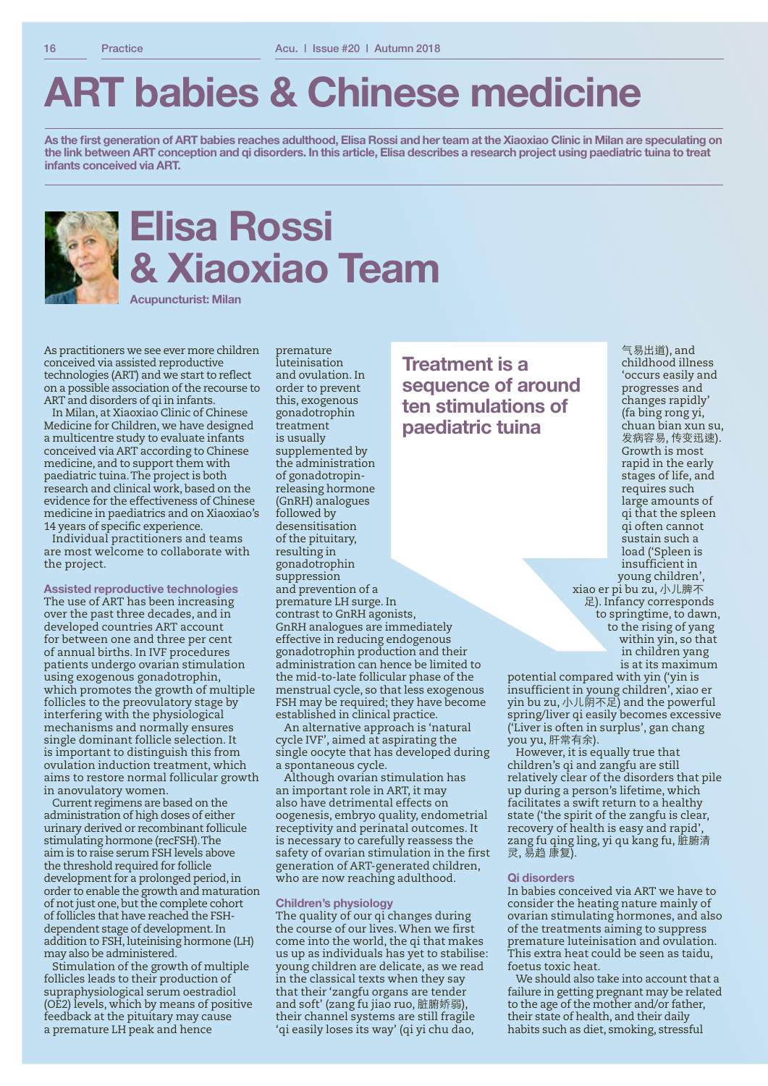# **ART babies & Chinese medicine**

**As the first generation of ART babies reaches adulthood, Elisa Rossi and her team at the Xiaoxiao Clinic in Milan are speculating on the link between ART conception and qi disorders. In this article, Elisa describes a research project using paediatric tuina to treat infants conceived via ART.**



# **Elisa Rossi & Xiaoxiao Team**

premature

**Acupuncturist: Milan**

As practitioners we see ever more children conceived via assisted reproductive technologies (ART) and we start to reflect on a possible association of the recourse to ART and disorders of qi in infants.

In Milan, at Xiaoxiao Clinic of Chinese Medicine for Children, we have designed a multicentre study to evaluate infants conceived via ART according to Chinese medicine, and to support them with paediatric tuina. The project is both research and clinical work, based on the evidence for the effectiveness of Chinese medicine in paediatrics and on Xiaoxiao's 14 years of specific experience.

Individual practitioners and teams are most welcome to collaborate with the project.

**Assisted reproductive technologies** The use of ART has been increasing over the past three decades, and in developed countries ART account for between one and three per cent of annual births. In IVF procedures patients undergo ovarian stimulation using exogenous gonadotrophin, which promotes the growth of multiple follicles to the preovulatory stage by interfering with the physiological mechanisms and normally ensures single dominant follicle selection. It is important to distinguish this from ovulation induction treatment, which aims to restore normal follicular growth in anovulatory women.

Current regimens are based on the administration of high doses of either urinary derived or recombinant follicule stimulating hormone (recFSH). The aim is to raise serum FSH levels above the threshold required for follicle development for a prolonged period, in order to enable the growth and maturation of not just one, but the complete cohort of follicles that have reached the FSHdependent stage of development. In addition to FSH, luteinising hormone (LH) may also be administered.

Stimulation of the growth of multiple follicles leads to their production of supraphysiological serum oestradiol (OE2) levels, which by means of positive feedback at the pituitary may cause a premature LH peak and hence

luteinisation and ovulation. In order to prevent this, exogenous gonadotrophin treatment is usually supplemented by the administration of gonadotropinreleasing hormone (GnRH) analogues followed by desensitisation of the pituitary, resulting in gonadotrophin suppression and prevention of a premature LH surge. In contrast to GnRH agonists, GnRH analogues are immediately effective in reducing endogenous gonadotrophin production and their administration can hence be limited to the mid-to-late follicular phase of the menstrual cycle, so that less exogenous FSH may be required; they have become established in clinical practice.

An alternative approach is 'natural cycle IVF', aimed at aspirating the single oocyte that has developed during a spontaneous cycle.

Although ovarian stimulation has an important role in ART, it may also have detrimental effects on oogenesis, embryo quality, endometrial receptivity and perinatal outcomes. It is necessary to carefully reassess the safety of ovarian stimulation in the first generation of ART-generated children, who are now reaching adulthood.

#### **Children's physiology**

The quality of our qi changes during the course of our lives. When we first come into the world, the qi that makes us up as individuals has yet to stabilise: young children are delicate, as we read in the classical texts when they say that their 'zangfu organs are tender and soft' (zang fu jiao ruo, 脏腑娇弱), their channel systems are still fragile 'qi easily loses its way' (qi yi chu dao,

**Treatment is a sequence of around ten stimulations of paediatric tuina**

气易出道), and childhood illness 'occurs easily and progresses and changes rapidly' (fa bing rong yi, chuan bian xun su, 发病容易, 传变迅速). Growth is most rapid in the early stages of life, and requires such large amounts of qi that the spleen qi often cannot sustain such a load ('Spleen is insufficient in young children',

xiao er pi bu zu, 小儿脾不 足). Infancy corresponds to springtime, to dawn, to the rising of yang within yin, so that in children yang is at its maximum

potential compared with yin ('yin is insufficient in young children', xiao er yin bu zu, 小儿阴不足) and the powerful spring/liver qi easily becomes excessive ('Liver is often in surplus', gan chang you yu, 肝常有余).

However, it is equally true that children's qi and zangfu are still relatively clear of the disorders that pile up during a person's lifetime, which facilitates a swift return to a healthy state ('the spirit of the zangfu is clear, recovery of health is easy and rapid', zang fu qing ling, yi qu kang fu, 脏腑清 灵, 易趋 康复).

#### **Qi disorders**

In babies conceived via ART we have to consider the heating nature mainly of ovarian stimulating hormones, and also of the treatments aiming to suppress premature luteinisation and ovulation. This extra heat could be seen as taidu, foetus toxic heat.

We should also take into account that a failure in getting pregnant may be related to the age of the mother and/or father, their state of health, and their daily habits such as diet, smoking, stressful